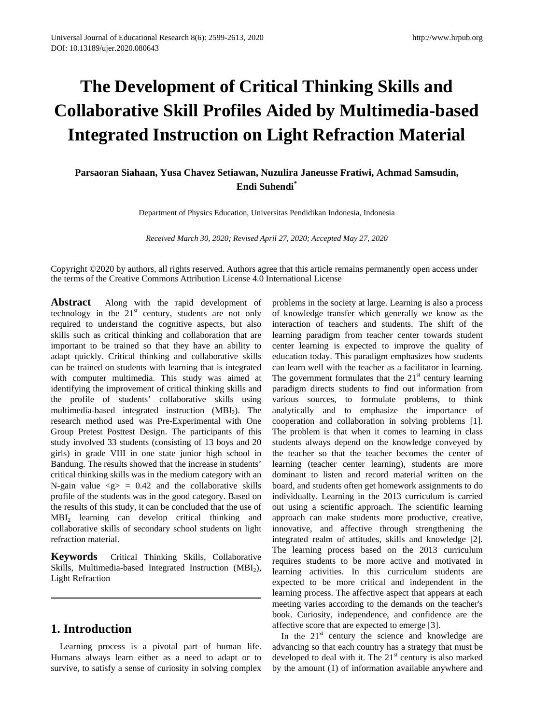# **The Development of Critical Thinking Skills and Collaborative Skill Profiles Aided by Multimedia-based Integrated Instruction on Light Refraction Material**

## **Parsaoran Siahaan, Yusa Chavez Setiawan, Nuzulira Janeusse Fratiwi, Achmad Samsudin, Endi Suhendi\***

Department of Physics Education, Universitas Pendidikan Indonesia, Indonesia

*Received March 30, 2020; Revised April 27, 2020; Accepted May 27, 2020*

Copyright ©2020 by authors, all rights reserved. Authors agree that this article remains permanently open access under the terms of the Creative Commons Attribution License 4.0 International License

**Abstract** Along with the rapid development of technology in the  $21<sup>st</sup>$  century, students are not only required to understand the cognitive aspects, but also skills such as critical thinking and collaboration that are important to be trained so that they have an ability to adapt quickly. Critical thinking and collaborative skills can be trained on students with learning that is integrated with computer multimedia. This study was aimed at identifying the improvement of critical thinking skills and the profile of students' collaborative skills using multimedia-based integrated instruction (MBI<sub>2</sub>). The research method used was Pre-Experimental with One Group Pretest Posttest Design. The participants of this study involved 33 students (consisting of 13 boys and 20 girls) in grade VIII in one state junior high school in Bandung. The results showed that the increase in students' critical thinking skills was in the medium category with an N-gain value  $\langle g \rangle = 0.42$  and the collaborative skills profile of the students was in the good category. Based on the results of this study, it can be concluded that the use of MBI2 learning can develop critical thinking and collaborative skills of secondary school students on light refraction material.

**Keywords** Critical Thinking Skills, Collaborative Skills, Multimedia-based Integrated Instruction (MBI<sub>2</sub>), Light Refraction

# **1. Introduction**

Learning process is a pivotal part of human life. Humans always learn either as a need to adapt or to survive, to satisfy a sense of curiosity in solving complex

problems in the society at large. Learning is also a process of knowledge transfer which generally we know as the interaction of teachers and students. The shift of the learning paradigm from teacher center towards student center learning is expected to improve the quality of education today. This paradigm emphasizes how students can learn well with the teacher as a facilitator in learning. The government formulates that the  $21<sup>st</sup>$  century learning paradigm directs students to find out information from various sources, to formulate problems, to think analytically and to emphasize the importance of cooperation and collaboration in solving problems [1]. The problem is that when it comes to learning in class students always depend on the knowledge conveyed by the teacher so that the teacher becomes the center of learning (teacher center learning), students are more dominant to listen and record material written on the board, and students often get homework assignments to do individually. Learning in the 2013 curriculum is carried out using a scientific approach. The scientific learning approach can make students more productive, creative, innovative, and affective through strengthening the integrated realm of attitudes, skills and knowledge [2]. The learning process based on the 2013 curriculum requires students to be more active and motivated in learning activities. In this curriculum students are expected to be more critical and independent in the learning process. The affective aspect that appears at each meeting varies according to the demands on the teacher's book. Curiosity, independence, and confidence are the affective score that are expected to emerge [3].

In the  $21<sup>st</sup>$  century the science and knowledge are advancing so that each country has a strategy that must be developed to deal with it. The  $21<sup>st</sup>$  century is also marked by the amount (1) of information available anywhere and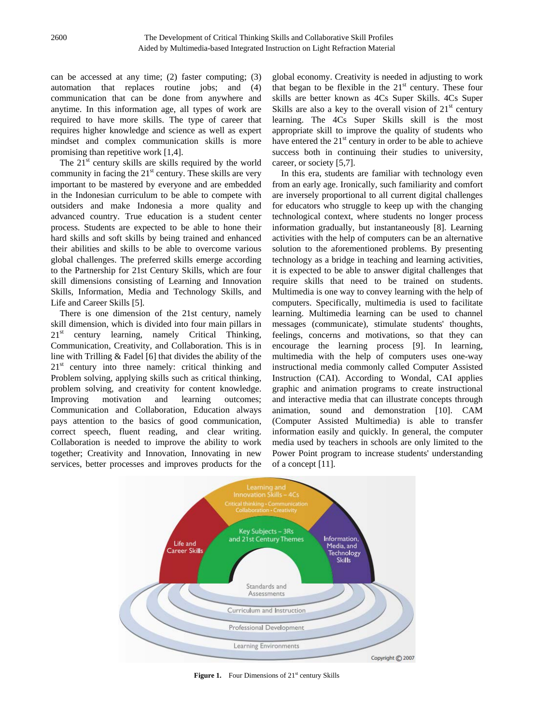can be accessed at any time; (2) faster computing; (3) automation that replaces routine jobs; and (4) communication that can be done from anywhere and anytime. In this information age, all types of work are required to have more skills. The type of career that requires higher knowledge and science as well as expert mindset and complex communication skills is more promising than repetitive work [1,4].

The  $21<sup>st</sup>$  century skills are skills required by the world community in facing the  $21<sup>st</sup>$  century. These skills are very important to be mastered by everyone and are embedded in the Indonesian curriculum to be able to compete with outsiders and make Indonesia a more quality and advanced country. True education is a student center process. Students are expected to be able to hone their hard skills and soft skills by being trained and enhanced their abilities and skills to be able to overcome various global challenges. The preferred skills emerge according to the Partnership for 21st Century Skills, which are four skill dimensions consisting of Learning and Innovation Skills, Information, Media and Technology Skills, and Life and Career Skills [5].

There is one dimension of the 21st century, namely skill dimension, which is divided into four main pillars in  $21<sup>st</sup>$  century learning, namely Critical Thinking, Communication, Creativity, and Collaboration. This is in line with Trilling & Fadel [6] that divides the ability of the  $21<sup>st</sup>$  century into three namely: critical thinking and Problem solving, applying skills such as critical thinking, problem solving, and creativity for content knowledge. Improving motivation and learning outcomes; Communication and Collaboration, Education always pays attention to the basics of good communication, correct speech, fluent reading, and clear writing. Collaboration is needed to improve the ability to work together; Creativity and Innovation, Innovating in new services, better processes and improves products for the

global economy. Creativity is needed in adjusting to work that began to be flexible in the  $21<sup>st</sup>$  century. These four skills are better known as 4Cs Super Skills. 4Cs Super Skills are also a key to the overall vision of  $21<sup>st</sup>$  century learning. The 4Cs Super Skills skill is the most appropriate skill to improve the quality of students who have entered the  $21<sup>st</sup>$  century in order to be able to achieve success both in continuing their studies to university, career, or society [5,7].

In this era, students are familiar with technology even from an early age. Ironically, such familiarity and comfort are inversely proportional to all current digital challenges for educators who struggle to keep up with the changing technological context, where students no longer process information gradually, but instantaneously [8]. Learning activities with the help of computers can be an alternative solution to the aforementioned problems. By presenting technology as a bridge in teaching and learning activities, it is expected to be able to answer digital challenges that require skills that need to be trained on students. Multimedia is one way to convey learning with the help of computers. Specifically, multimedia is used to facilitate learning. Multimedia learning can be used to channel messages (communicate), stimulate students' thoughts, feelings, concerns and motivations, so that they can encourage the learning process [9]. In learning, multimedia with the help of computers uses one-way instructional media commonly called Computer Assisted Instruction (CAI). According to Wondal, CAI applies graphic and animation programs to create instructional and interactive media that can illustrate concepts through animation, sound and demonstration [10]. CAM (Computer Assisted Multimedia) is able to transfer information easily and quickly. In general, the computer media used by teachers in schools are only limited to the Power Point program to increase students' understanding of a concept [11].



**Figure 1.** Four Dimensions of 21<sup>st</sup> century Skills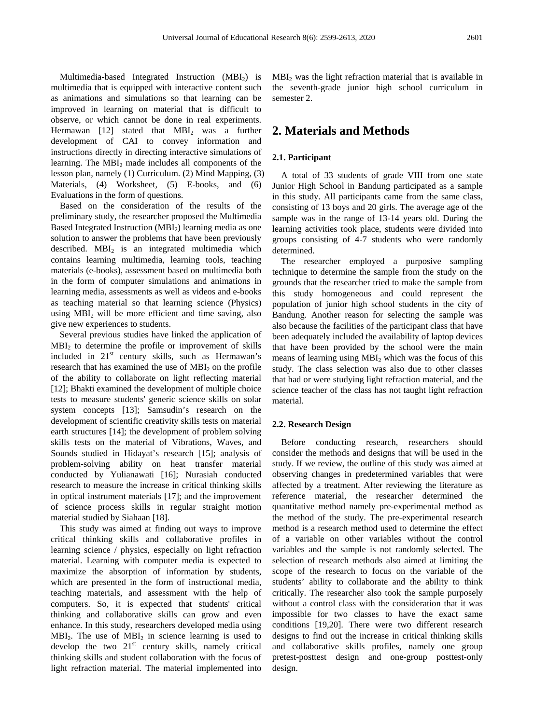Multimedia-based Integrated Instruction  $(MBI<sub>2</sub>)$  is multimedia that is equipped with interactive content such as animations and simulations so that learning can be improved in learning on material that is difficult to observe, or which cannot be done in real experiments. Hermawan [12] stated that MBI<sub>2</sub> was a further development of CAI to convey information and instructions directly in directing interactive simulations of learning. The  $MBI_2$  made includes all components of the lesson plan, namely (1) Curriculum. (2) Mind Mapping, (3) Materials, (4) Worksheet, (5) E-books, and (6) Evaluations in the form of questions.

Based on the consideration of the results of the preliminary study, the researcher proposed the Multimedia Based Integrated Instruction  $(MBI<sub>2</sub>)$  learning media as one solution to answer the problems that have been previously described.  $MBI_2$  is an integrated multimedia which contains learning multimedia, learning tools, teaching materials (e-books), assessment based on multimedia both in the form of computer simulations and animations in learning media, assessments as well as videos and e-books as teaching material so that learning science (Physics) using  $MBI<sub>2</sub>$  will be more efficient and time saving, also give new experiences to students.

Several previous studies have linked the application of  $MBI<sub>2</sub>$  to determine the profile or improvement of skills included in  $21<sup>st</sup>$  century skills, such as Hermawan's research that has examined the use of  $MBI<sub>2</sub>$  on the profile of the ability to collaborate on light reflecting material [12]; Bhakti examined the development of multiple choice tests to measure students' generic science skills on solar system concepts [13]; Samsudin's research on the development of scientific creativity skills tests on material earth structures [14]; the development of problem solving skills tests on the material of Vibrations, Waves, and Sounds studied in Hidayat's research [15]; analysis of problem-solving ability on heat transfer material conducted by Yulianawati [16]; Nurasiah conducted research to measure the increase in critical thinking skills in optical instrument materials [17]; and the improvement of science process skills in regular straight motion material studied by Siahaan [18].

This study was aimed at finding out ways to improve critical thinking skills and collaborative profiles in learning science / physics, especially on light refraction material. Learning with computer media is expected to maximize the absorption of information by students, which are presented in the form of instructional media, teaching materials, and assessment with the help of computers. So, it is expected that students' critical thinking and collaborative skills can grow and even enhance. In this study, researchers developed media using  $MBI<sub>2</sub>$ . The use of  $MBI<sub>2</sub>$  in science learning is used to develop the two  $21<sup>st</sup>$  century skills, namely critical thinking skills and student collaboration with the focus of light refraction material. The material implemented into

 $MBI<sub>2</sub>$  was the light refraction material that is available in the seventh-grade junior high school curriculum in semester 2.

### **2. Materials and Methods**

#### **2.1. Participant**

A total of 33 students of grade VIII from one state Junior High School in Bandung participated as a sample in this study. All participants came from the same class, consisting of 13 boys and 20 girls. The average age of the sample was in the range of 13-14 years old. During the learning activities took place, students were divided into groups consisting of 4-7 students who were randomly determined.

The researcher employed a purposive sampling technique to determine the sample from the study on the grounds that the researcher tried to make the sample from this study homogeneous and could represent the population of junior high school students in the city of Bandung. Another reason for selecting the sample was also because the facilities of the participant class that have been adequately included the availability of laptop devices that have been provided by the school were the main means of learning using MBI2 which was the focus of this study. The class selection was also due to other classes that had or were studying light refraction material, and the science teacher of the class has not taught light refraction material.

#### **2.2. Research Design**

Before conducting research, researchers should consider the methods and designs that will be used in the study. If we review, the outline of this study was aimed at observing changes in predetermined variables that were affected by a treatment. After reviewing the literature as reference material, the researcher determined the quantitative method namely pre-experimental method as the method of the study. The pre-experimental research method is a research method used to determine the effect of a variable on other variables without the control variables and the sample is not randomly selected. The selection of research methods also aimed at limiting the scope of the research to focus on the variable of the students' ability to collaborate and the ability to think critically. The researcher also took the sample purposely without a control class with the consideration that it was impossible for two classes to have the exact same conditions [19,20]. There were two different research designs to find out the increase in critical thinking skills and collaborative skills profiles, namely one group pretest-posttest design and one-group posttest-only design.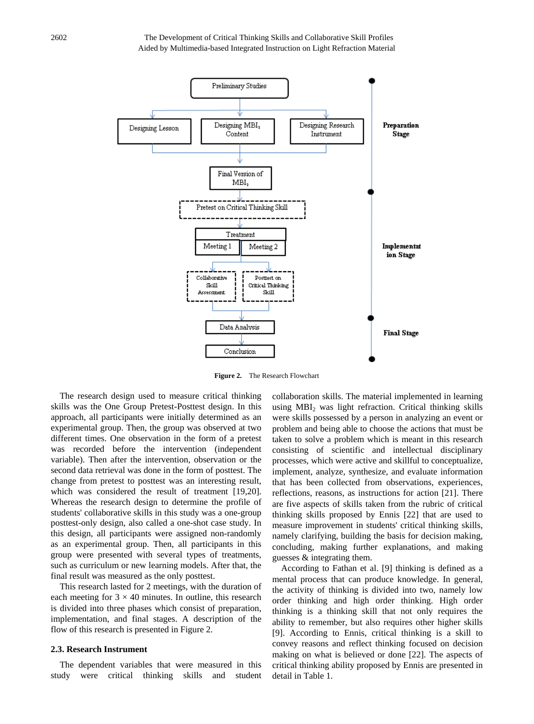

**Figure 2.** The Research Flowchart

The research design used to measure critical thinking skills was the One Group Pretest-Posttest design. In this approach, all participants were initially determined as an experimental group. Then, the group was observed at two different times. One observation in the form of a pretest was recorded before the intervention (independent variable). Then after the intervention, observation or the second data retrieval was done in the form of posttest. The change from pretest to posttest was an interesting result, which was considered the result of treatment [19,20]. Whereas the research design to determine the profile of students' collaborative skills in this study was a one-group posttest-only design, also called a one-shot case study. In this design, all participants were assigned non-randomly as an experimental group. Then, all participants in this group were presented with several types of treatments, such as curriculum or new learning models. After that, the final result was measured as the only posttest.

This research lasted for 2 meetings, with the duration of each meeting for  $3 \times 40$  minutes. In outline, this research is divided into three phases which consist of preparation, implementation, and final stages. A description of the flow of this research is presented in Figure 2.

#### **2.3. Research Instrument**

The dependent variables that were measured in this study were critical thinking skills and student

collaboration skills. The material implemented in learning using  $MBI<sub>2</sub>$  was light refraction. Critical thinking skills were skills possessed by a person in analyzing an event or problem and being able to choose the actions that must be taken to solve a problem which is meant in this research consisting of scientific and intellectual disciplinary processes, which were active and skillful to conceptualize, implement, analyze, synthesize, and evaluate information that has been collected from observations, experiences, reflections, reasons, as instructions for action [21]. There are five aspects of skills taken from the rubric of critical thinking skills proposed by Ennis [22] that are used to measure improvement in students' critical thinking skills, namely clarifying, building the basis for decision making, concluding, making further explanations, and making guesses & integrating them.

According to Fathan et al. [9] thinking is defined as a mental process that can produce knowledge. In general, the activity of thinking is divided into two, namely low order thinking and high order thinking. High order thinking is a thinking skill that not only requires the ability to remember, but also requires other higher skills [9]. According to Ennis, critical thinking is a skill to convey reasons and reflect thinking focused on decision making on what is believed or done [22]. The aspects of critical thinking ability proposed by Ennis are presented in detail in Table 1.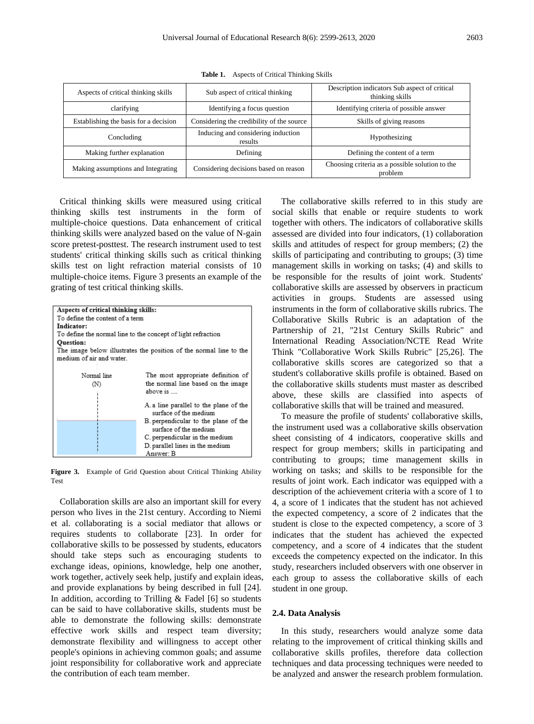| Aspects of critical thinking skills   | Sub aspect of critical thinking               | Description indicators Sub aspect of critical<br>thinking skills |  |
|---------------------------------------|-----------------------------------------------|------------------------------------------------------------------|--|
| clarifying                            | Identifying a focus question                  | Identifying criteria of possible answer                          |  |
| Establishing the basis for a decision | Considering the credibility of the source     | Skills of giving reasons                                         |  |
| Concluding                            | Inducing and considering induction<br>results | Hypothesizing                                                    |  |
| Making further explanation            | Defining                                      | Defining the content of a term                                   |  |
| Making assumptions and Integrating    | Considering decisions based on reason         | Choosing criteria as a possible solution to the<br>problem       |  |

**Table 1.** Aspects of Critical Thinking Skills

Critical thinking skills were measured using critical thinking skills test instruments in the form of multiple-choice questions. Data enhancement of critical thinking skills were analyzed based on the value of N-gain score pretest-posttest. The research instrument used to test students' critical thinking skills such as critical thinking skills test on light refraction material consists of 10 multiple-choice items. Figure 3 presents an example of the grating of test critical thinking skills.

| Aspects of critical thinking skills:                               |                                                              |  |  |  |
|--------------------------------------------------------------------|--------------------------------------------------------------|--|--|--|
| To define the content of a term                                    |                                                              |  |  |  |
| Indicator:                                                         |                                                              |  |  |  |
|                                                                    | To define the normal line to the concept of light refraction |  |  |  |
| <b>Ouestion:</b>                                                   |                                                              |  |  |  |
| The image below illustrates the position of the normal line to the |                                                              |  |  |  |
| medium of air and water.                                           |                                                              |  |  |  |
|                                                                    |                                                              |  |  |  |
| Normal line                                                        | The most appropriate definition of                           |  |  |  |
| M)                                                                 | the normal line based on the image                           |  |  |  |
| above is                                                           |                                                              |  |  |  |
|                                                                    |                                                              |  |  |  |
| A. a line parallel to the plane of the                             |                                                              |  |  |  |
| surface of the medium                                              |                                                              |  |  |  |
| B perpendicular to the plane of the                                |                                                              |  |  |  |
| surface of the medium                                              |                                                              |  |  |  |
| C. perpendicular in the medium                                     |                                                              |  |  |  |
|                                                                    | D. parallel lines in the medium                              |  |  |  |
| Answer: B                                                          |                                                              |  |  |  |

**Figure 3.** Example of Grid Question about Critical Thinking Ability Test

Collaboration skills are also an important skill for every person who lives in the 21st century. According to Niemi et al. collaborating is a social mediator that allows or requires students to collaborate [23]. In order for collaborative skills to be possessed by students, educators should take steps such as encouraging students to exchange ideas, opinions, knowledge, help one another, work together, actively seek help, justify and explain ideas, and provide explanations by being described in full [24]. In addition, according to Trilling & Fadel [6] so students can be said to have collaborative skills, students must be able to demonstrate the following skills: demonstrate effective work skills and respect team diversity; demonstrate flexibility and willingness to accept other people's opinions in achieving common goals; and assume joint responsibility for collaborative work and appreciate the contribution of each team member.

The collaborative skills referred to in this study are social skills that enable or require students to work together with others. The indicators of collaborative skills assessed are divided into four indicators, (1) collaboration skills and attitudes of respect for group members; (2) the skills of participating and contributing to groups; (3) time management skills in working on tasks; (4) and skills to be responsible for the results of joint work. Students' collaborative skills are assessed by observers in practicum activities in groups. Students are assessed using instruments in the form of collaborative skills rubrics. The Collaborative Skills Rubric is an adaptation of the Partnership of 21, "21st Century Skills Rubric" and International Reading Association/NCTE Read Write Think "Collaborative Work Skills Rubric" [25,26]. The collaborative skills scores are categorized so that a student's collaborative skills profile is obtained. Based on the collaborative skills students must master as described above, these skills are classified into aspects of collaborative skills that will be trained and measured.

To measure the profile of students' collaborative skills, the instrument used was a collaborative skills observation sheet consisting of 4 indicators, cooperative skills and respect for group members; skills in participating and contributing to groups; time management skills in working on tasks; and skills to be responsible for the results of joint work. Each indicator was equipped with a description of the achievement criteria with a score of 1 to 4, a score of 1 indicates that the student has not achieved the expected competency, a score of 2 indicates that the student is close to the expected competency, a score of 3 indicates that the student has achieved the expected competency, and a score of 4 indicates that the student exceeds the competency expected on the indicator. In this study, researchers included observers with one observer in each group to assess the collaborative skills of each student in one group.

#### **2.4. Data Analysis**

In this study, researchers would analyze some data relating to the improvement of critical thinking skills and collaborative skills profiles, therefore data collection techniques and data processing techniques were needed to be analyzed and answer the research problem formulation.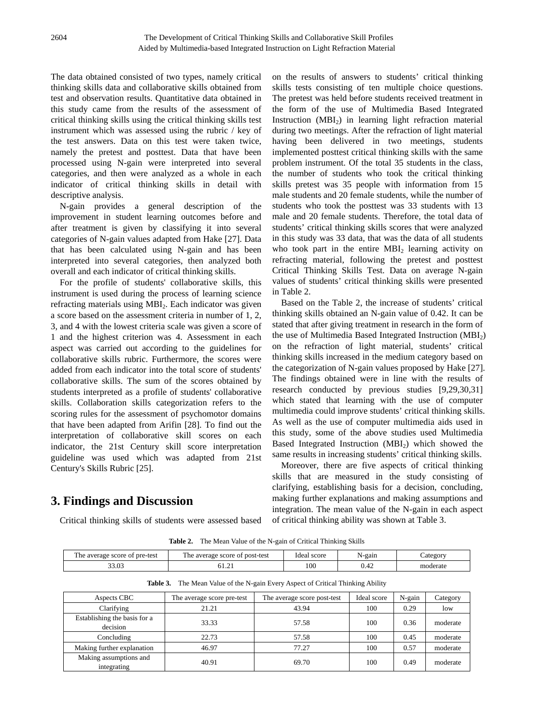The data obtained consisted of two types, namely critical thinking skills data and collaborative skills obtained from test and observation results. Quantitative data obtained in this study came from the results of the assessment of critical thinking skills using the critical thinking skills test instrument which was assessed using the rubric / key of the test answers. Data on this test were taken twice, namely the pretest and posttest. Data that have been processed using N-gain were interpreted into several categories, and then were analyzed as a whole in each indicator of critical thinking skills in detail with descriptive analysis.

N-gain provides a general description of the improvement in student learning outcomes before and after treatment is given by classifying it into several categories of N-gain values adapted from Hake [27]. Data that has been calculated using N-gain and has been interpreted into several categories, then analyzed both overall and each indicator of critical thinking skills.

For the profile of students' collaborative skills, this instrument is used during the process of learning science refracting materials using MBI<sub>2</sub>. Each indicator was given a score based on the assessment criteria in number of 1, 2, 3, and 4 with the lowest criteria scale was given a score of 1 and the highest criterion was 4. Assessment in each aspect was carried out according to the guidelines for collaborative skills rubric. Furthermore, the scores were added from each indicator into the total score of students' collaborative skills. The sum of the scores obtained by students interpreted as a profile of students' collaborative skills. Collaboration skills categorization refers to the scoring rules for the assessment of psychomotor domains that have been adapted from Arifin [28]. To find out the interpretation of collaborative skill scores on each indicator, the 21st Century skill score interpretation guideline was used which was adapted from 21st Century's Skills Rubric [25].

# **3. Findings and Discussion**

Critical thinking skills of students were assessed based

on the results of answers to students' critical thinking skills tests consisting of ten multiple choice questions. The pretest was held before students received treatment in the form of the use of Multimedia Based Integrated Instruction  $(MBI<sub>2</sub>)$  in learning light refraction material during two meetings. After the refraction of light material having been delivered in two meetings, students implemented posttest critical thinking skills with the same problem instrument. Of the total 35 students in the class, the number of students who took the critical thinking skills pretest was 35 people with information from 15 male students and 20 female students, while the number of students who took the posttest was 33 students with 13 male and 20 female students. Therefore, the total data of students' critical thinking skills scores that were analyzed in this study was 33 data, that was the data of all students who took part in the entire  $MBI_2$  learning activity on refracting material, following the pretest and posttest Critical Thinking Skills Test. Data on average N-gain values of students' critical thinking skills were presented in Table 2.

Based on the Table 2, the increase of students' critical thinking skills obtained an N-gain value of 0.42. It can be stated that after giving treatment in research in the form of the use of Multimedia Based Integrated Instruction  $(MBI<sub>2</sub>)$ on the refraction of light material, students' critical thinking skills increased in the medium category based on the categorization of N-gain values proposed by Hake [27]. The findings obtained were in line with the results of research conducted by previous studies [9,29,30,31] which stated that learning with the use of computer multimedia could improve students' critical thinking skills. As well as the use of computer multimedia aids used in this study, some of the above studies used Multimedia Based Integrated Instruction  $(MBI<sub>2</sub>)$  which showed the same results in increasing students' critical thinking skills.

Moreover, there are five aspects of critical thinking skills that are measured in the study consisting of clarifying, establishing basis for a decision, concluding, making further explanations and making assumptions and integration. The mean value of the N-gain in each aspect of critical thinking ability was shown at Table 3.

**Table 2.** The Mean Value of the N-gain of Critical Thinking Skills

| average score of<br>t pre-test<br>r ne- | average score of post-test<br>ne | score<br>Idea. | N-gain            | _ategory |
|-----------------------------------------|----------------------------------|----------------|-------------------|----------|
| $. \n\rightharpoonup$<br>3.U3           | 01.ZI                            | 100            | $\Lambda$<br>U.42 | moderate |

**Table 3.** The Mean Value of the N-gain Every Aspect of Critical Thinking Ability

| Aspects CBC                              | The average score pre-test | The average score post-test | Ideal score | N-gain | Category |
|------------------------------------------|----------------------------|-----------------------------|-------------|--------|----------|
| Clarifying                               | 21.21                      | 43.94                       | 100         | 0.29   | low      |
| Establishing the basis for a<br>decision | 33.33                      | 57.58                       | 100         | 0.36   | moderate |
| Concluding                               | 22.73                      | 57.58                       | 100         | 0.45   | moderate |
| Making further explanation               | 46.97                      | 77.27                       | 100         | 0.57   | moderate |
| Making assumptions and<br>integrating    | 40.91                      | 69.70                       | 100         | 0.49   | moderate |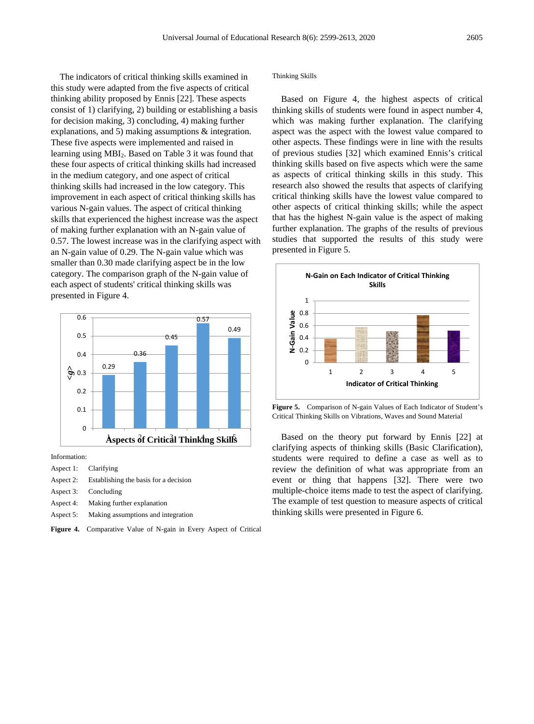The indicators of critical thinking skills examined in this study were adapted from the five aspects of critical thinking ability proposed by Ennis [22]. These aspects consist of 1) clarifying, 2) building or establishing a basis for decision making, 3) concluding, 4) making further explanations, and 5) making assumptions & integration. These five aspects were implemented and raised in learning using MBI2. Based on Table 3 it was found that these four aspects of critical thinking skills had increased in the medium category, and one aspect of critical thinking skills had increased in the low category. This improvement in each aspect of critical thinking skills has various N-gain values. The aspect of critical thinking skills that experienced the highest increase was the aspect of making further explanation with an N-gain value of 0.57. The lowest increase was in the clarifying aspect with an N-gain value of 0.29. The N-gain value which was smaller than 0.30 made clarifying aspect be in the low category. The comparison graph of the N-gain value of each aspect of students' critical thinking skills was presented in Figure 4.



Information:

- Aspect 1: Clarifying
- Aspect 2: Establishing the basis for a decision
- Aspect 3: Concluding
- Aspect 4: Making further explanation
- Aspect 5: Making assumptions and integration
- **Figure 4.** Comparative Value of N-gain in Every Aspect of Critical

#### Thinking Skills

Based on Figure 4, the highest aspects of critical thinking skills of students were found in aspect number 4, which was making further explanation. The clarifying aspect was the aspect with the lowest value compared to other aspects. These findings were in line with the results of previous studies [32] which examined Ennis's critical thinking skills based on five aspects which were the same as aspects of critical thinking skills in this study. This research also showed the results that aspects of clarifying critical thinking skills have the lowest value compared to other aspects of critical thinking skills; while the aspect that has the highest N-gain value is the aspect of making further explanation. The graphs of the results of previous studies that supported the results of this study were presented in Figure 5.



**Figure 5.** Comparison of N-gain Values of Each Indicator of Student's Critical Thinking Skills on Vibrations, Waves and Sound Material

Based on the theory put forward by Ennis [22] at clarifying aspects of thinking skills (Basic Clarification), students were required to define a case as well as to review the definition of what was appropriate from an event or thing that happens [32]. There were two multiple-choice items made to test the aspect of clarifying. The example of test question to measure aspects of critical thinking skills were presented in Figure 6.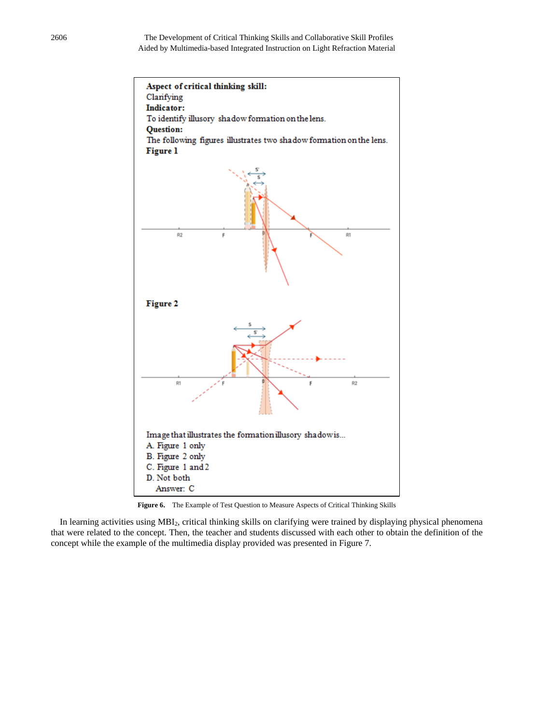

**Figure 6.** The Example of Test Question to Measure Aspects of Critical Thinking Skills

In learning activities using MBI<sub>2</sub>, critical thinking skills on clarifying were trained by displaying physical phenomena that were related to the concept. Then, the teacher and students discussed with each other to obtain the definition of the concept while the example of the multimedia display provided was presented in Figure 7.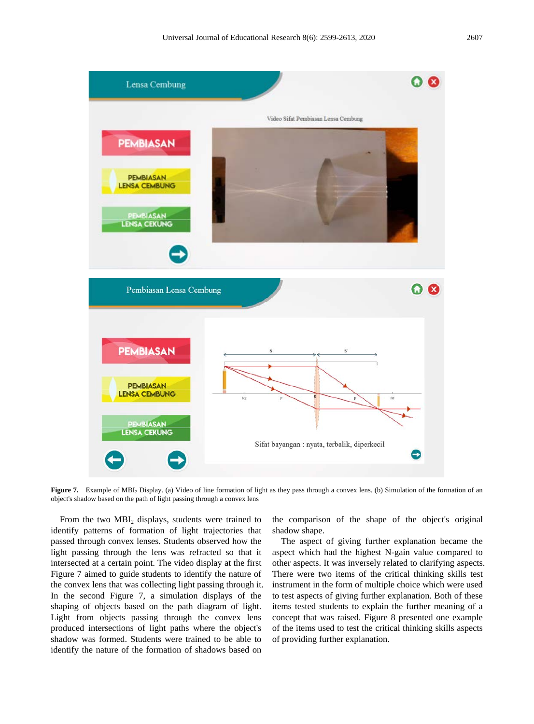

**Figure 7.** Example of MBI<sub>2</sub> Display. (a) Video of line formation of light as they pass through a convex lens. (b) Simulation of the formation of an object's shadow based on the path of light passing through a convex lens

From the two  $MBI_2$  displays, students were trained to identify patterns of formation of light trajectories that passed through convex lenses. Students observed how the light passing through the lens was refracted so that it intersected at a certain point. The video display at the first Figure 7 aimed to guide students to identify the nature of the convex lens that was collecting light passing through it. In the second Figure 7, a simulation displays of the shaping of objects based on the path diagram of light. Light from objects passing through the convex lens produced intersections of light paths where the object's shadow was formed. Students were trained to be able to identify the nature of the formation of shadows based on

the comparison of the shape of the object's original shadow shape.

The aspect of giving further explanation became the aspect which had the highest N-gain value compared to other aspects. It was inversely related to clarifying aspects. There were two items of the critical thinking skills test instrument in the form of multiple choice which were used to test aspects of giving further explanation. Both of these items tested students to explain the further meaning of a concept that was raised. Figure 8 presented one example of the items used to test the critical thinking skills aspects of providing further explanation.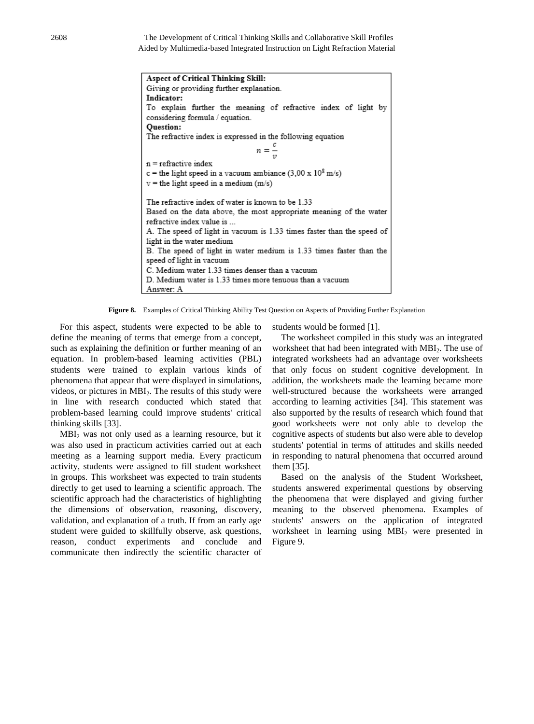2608 The Development of Critical Thinking Skills and Collaborative Skill Profiles Aided by Multimedia-based Integrated Instruction on Light Refraction Material

| Aspect of Critical Thinking Skill:                                        |  |  |  |
|---------------------------------------------------------------------------|--|--|--|
| Giving or providing further explanation.                                  |  |  |  |
| Indicator:                                                                |  |  |  |
| To explain further the meaning of refractive index of light by            |  |  |  |
| considering formula / equation.                                           |  |  |  |
| <b>Ouestion:</b>                                                          |  |  |  |
| The refractive index is expressed in the following equation               |  |  |  |
|                                                                           |  |  |  |
| $n = -$                                                                   |  |  |  |
| $n =$ refractive index                                                    |  |  |  |
| c = the light speed in a vacuum ambiance $(3,00 \times 10^8 \text{ m/s})$ |  |  |  |
| $v =$ the light speed in a medium (m/s)                                   |  |  |  |
|                                                                           |  |  |  |
| The refractive index of water is known to be 1.33                         |  |  |  |
| Based on the data above, the most appropriate meaning of the water        |  |  |  |
| refractive index value is                                                 |  |  |  |
| A. The speed of light in vacuum is 1.33 times faster than the speed of    |  |  |  |
| light in the water medium                                                 |  |  |  |
| B. The speed of light in water medium is 1.33 times faster than the       |  |  |  |
| speed of light in vacuum                                                  |  |  |  |
| C. Medium water 1.33 times denser than a vacuum                           |  |  |  |
| D. Medium water is 1.33 times more tenuous than a vacuum                  |  |  |  |
| Answer: A                                                                 |  |  |  |

**Figure 8.** Examples of Critical Thinking Ability Test Question on Aspects of Providing Further Explanation

For this aspect, students were expected to be able to define the meaning of terms that emerge from a concept, such as explaining the definition or further meaning of an equation. In problem-based learning activities (PBL) students were trained to explain various kinds of phenomena that appear that were displayed in simulations, videos, or pictures in MBI<sub>2</sub>. The results of this study were in line with research conducted which stated that problem-based learning could improve students' critical thinking skills [33].

MBI2 was not only used as a learning resource, but it was also used in practicum activities carried out at each meeting as a learning support media. Every practicum activity, students were assigned to fill student worksheet in groups. This worksheet was expected to train students directly to get used to learning a scientific approach. The scientific approach had the characteristics of highlighting the dimensions of observation, reasoning, discovery, validation, and explanation of a truth. If from an early age student were guided to skillfully observe, ask questions, reason, conduct experiments and conclude and communicate then indirectly the scientific character of

students would be formed [1].

The worksheet compiled in this study was an integrated worksheet that had been integrated with MBI<sub>2</sub>. The use of integrated worksheets had an advantage over worksheets that only focus on student cognitive development. In addition, the worksheets made the learning became more well-structured because the worksheets were arranged according to learning activities [34]. This statement was also supported by the results of research which found that good worksheets were not only able to develop the cognitive aspects of students but also were able to develop students' potential in terms of attitudes and skills needed in responding to natural phenomena that occurred around them [35].

Based on the analysis of the Student Worksheet, students answered experimental questions by observing the phenomena that were displayed and giving further meaning to the observed phenomena. Examples of students' answers on the application of integrated worksheet in learning using MBI<sub>2</sub> were presented in Figure 9.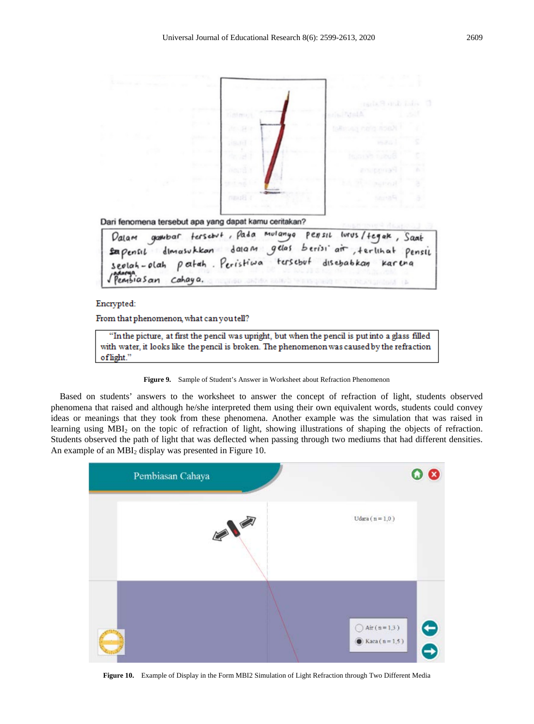

From that phenomenon, what can you tell?

"In the picture, at first the pencil was upright, but when the pencil is put into a glass filled with water, it looks like the pencil is broken. The phenomenon was caused by the refraction oflight."

**Figure 9.** Sample of Student's Answer in Worksheet about Refraction Phenomenon

Based on students' answers to the worksheet to answer the concept of refraction of light, students observed phenomena that raised and although he/she interpreted them using their own equivalent words, students could convey ideas or meanings that they took from these phenomena. Another example was the simulation that was raised in learning using MBI2 on the topic of refraction of light, showing illustrations of shaping the objects of refraction. Students observed the path of light that was deflected when passing through two mediums that had different densities. An example of an MBI<sub>2</sub> display was presented in Figure 10.



**Figure 10.** Example of Display in the Form MBI2 Simulation of Light Refraction through Two Different Media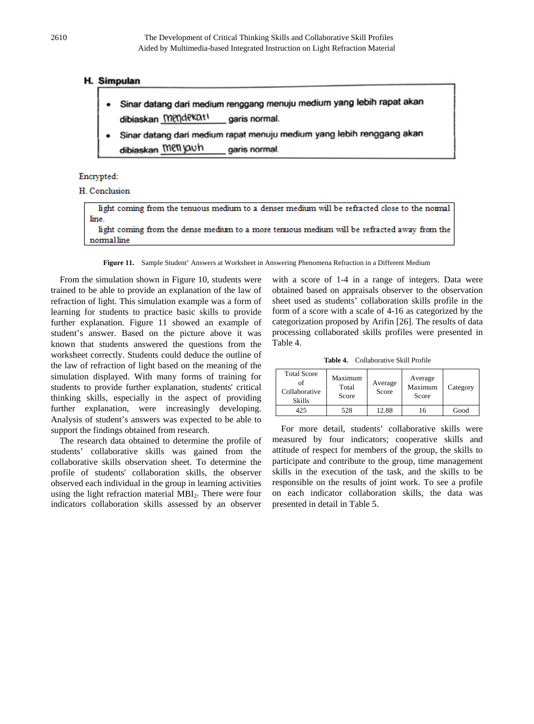### **H. Simpulan**

- Sinar datang dari medium renggang menuju medium yang lebih rapat akan dibiaskan Mendekatl garis normal.
- Sinar datang dari medium rapat menuju medium yang lebih renggang akan dibiaskan Menjauh garis normal

### Encrypted:

### H. Conclusion

| light coming from the tenuous medium to a denser medium will be refracted close to the normal |
|-----------------------------------------------------------------------------------------------|
| line.                                                                                         |
| light coming from the dense medium to a more tenuous medium will be refracted away from the   |
| normalline                                                                                    |

**Figure 11.** Sample Student' Answers at Worksheet in Answering Phenomena Refraction in a Different Medium

From the simulation shown in Figure 10, students were trained to be able to provide an explanation of the law of refraction of light. This simulation example was a form of learning for students to practice basic skills to provide further explanation. Figure 11 showed an example of student's answer. Based on the picture above it was known that students answered the questions from the worksheet correctly. Students could deduce the outline of the law of refraction of light based on the meaning of the simulation displayed. With many forms of training for students to provide further explanation, students' critical thinking skills, especially in the aspect of providing further explanation, were increasingly developing. Analysis of student's answers was expected to be able to support the findings obtained from research.

The research data obtained to determine the profile of students' collaborative skills was gained from the collaborative skills observation sheet. To determine the profile of students' collaboration skills, the observer observed each individual in the group in learning activities using the light refraction material MBI<sub>2</sub>. There were four indicators collaboration skills assessed by an observer with a score of 1-4 in a range of integers. Data were obtained based on appraisals observer to the observation sheet used as students' collaboration skills profile in the form of a score with a scale of 4-16 as categorized by the categorization proposed by Arifin [26]. The results of data processing collaborated skills profiles were presented in Table 4.

**Table 4.** Collaborative Skill Profile

| <b>Total Score</b><br>of<br>Collaborative<br>Skills | Maximum<br>Total<br>Score | Average<br>Score | Average<br>Maximum<br>Score | Category |
|-----------------------------------------------------|---------------------------|------------------|-----------------------------|----------|
| 12.5                                                | 528                       | 12.88            | <sub>6</sub>                | Good     |

For more detail, students' collaborative skills were measured by four indicators; cooperative skills and attitude of respect for members of the group, the skills to participate and contribute to the group, time management skills in the execution of the task, and the skills to be responsible on the results of joint work. To see a profile on each indicator collaboration skills, the data was presented in detail in Table 5.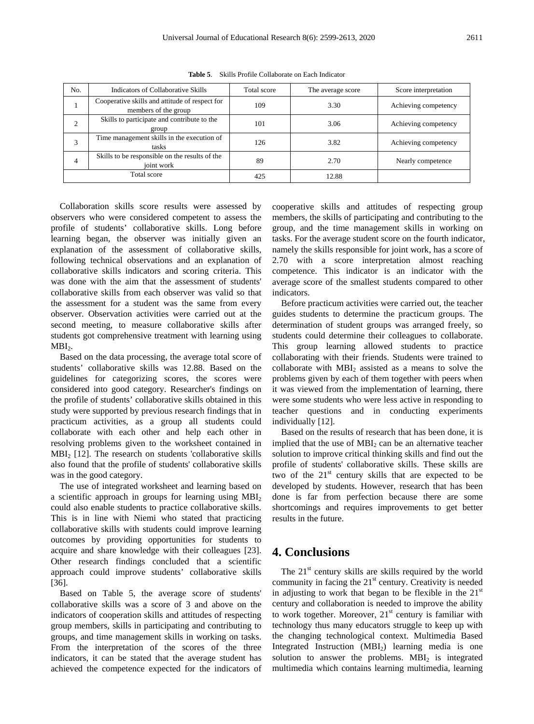| No. | Indicators of Collaborative Skills                                     | Total score | The average score | Score interpretation |
|-----|------------------------------------------------------------------------|-------------|-------------------|----------------------|
|     | Cooperative skills and attitude of respect for<br>members of the group | 109         | 3.30              | Achieving competency |
|     | Skills to participate and contribute to the<br>group                   | 101         | 3.06              | Achieving competency |
|     | Time management skills in the execution of<br>tasks                    | 126         | 3.82              | Achieving competency |
| 4   | Skills to be responsible on the results of the<br>joint work           | 89          | 2.70              | Nearly competence    |
|     | Total score                                                            | 425         | 12.88             |                      |

**Table 5**. Skills Profile Collaborate on Each Indicator

Collaboration skills score results were assessed by observers who were considered competent to assess the profile of students' collaborative skills. Long before learning began, the observer was initially given an explanation of the assessment of collaborative skills, following technical observations and an explanation of collaborative skills indicators and scoring criteria. This was done with the aim that the assessment of students' collaborative skills from each observer was valid so that the assessment for a student was the same from every observer. Observation activities were carried out at the second meeting, to measure collaborative skills after students got comprehensive treatment with learning using  $MBI<sub>2</sub>$ .

Based on the data processing, the average total score of students' collaborative skills was 12.88. Based on the guidelines for categorizing scores, the scores were considered into good category. Researcher's findings on the profile of students' collaborative skills obtained in this study were supported by previous research findings that in practicum activities, as a group all students could collaborate with each other and help each other in resolving problems given to the worksheet contained in MBI<sub>2</sub> [12]. The research on students 'collaborative skills also found that the profile of students' collaborative skills was in the good category.

The use of integrated worksheet and learning based on a scientific approach in groups for learning using  $MBI<sub>2</sub>$ could also enable students to practice collaborative skills. This is in line with Niemi who stated that practicing collaborative skills with students could improve learning outcomes by providing opportunities for students to acquire and share knowledge with their colleagues [23]. Other research findings concluded that a scientific approach could improve students' collaborative skills [36].

Based on Table 5, the average score of students' collaborative skills was a score of 3 and above on the indicators of cooperation skills and attitudes of respecting group members, skills in participating and contributing to groups, and time management skills in working on tasks. From the interpretation of the scores of the three indicators, it can be stated that the average student has achieved the competence expected for the indicators of cooperative skills and attitudes of respecting group members, the skills of participating and contributing to the group, and the time management skills in working on tasks. For the average student score on the fourth indicator, namely the skills responsible for joint work, has a score of 2.70 with a score interpretation almost reaching competence. This indicator is an indicator with the average score of the smallest students compared to other indicators.

Before practicum activities were carried out, the teacher guides students to determine the practicum groups. The determination of student groups was arranged freely, so students could determine their colleagues to collaborate. This group learning allowed students to practice collaborating with their friends. Students were trained to collaborate with  $MBI<sub>2</sub>$  assisted as a means to solve the problems given by each of them together with peers when it was viewed from the implementation of learning, there were some students who were less active in responding to teacher questions and in conducting experiments individually [12].

Based on the results of research that has been done, it is implied that the use of  $MBI<sub>2</sub>$  can be an alternative teacher solution to improve critical thinking skills and find out the profile of students' collaborative skills. These skills are two of the  $21<sup>st</sup>$  century skills that are expected to be developed by students. However, research that has been done is far from perfection because there are some shortcomings and requires improvements to get better results in the future.

### **4. Conclusions**

The  $21<sup>st</sup>$  century skills are skills required by the world community in facing the  $21<sup>st</sup>$  century. Creativity is needed in adjusting to work that began to be flexible in the  $21<sup>st</sup>$ century and collaboration is needed to improve the ability to work together. Moreover,  $21<sup>st</sup>$  century is familiar with technology thus many educators struggle to keep up with the changing technological context. Multimedia Based Integrated Instruction  $(MBI<sub>2</sub>)$  learning media is one solution to answer the problems.  $MBI<sub>2</sub>$  is integrated multimedia which contains learning multimedia, learning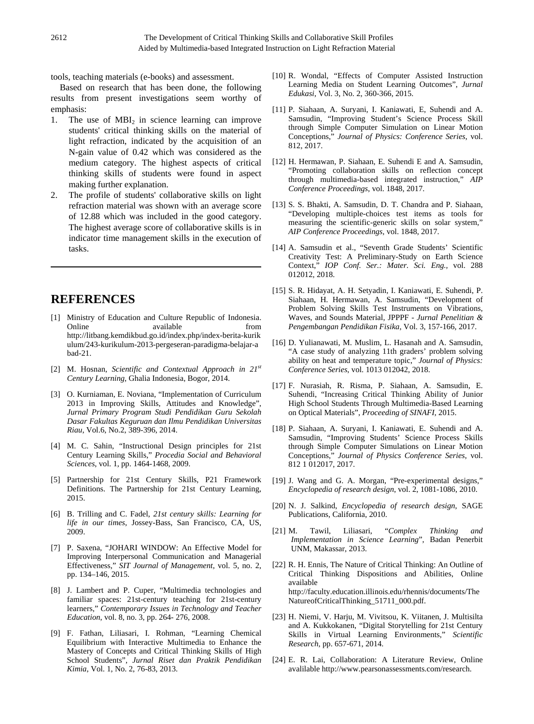tools, teaching materials (e-books) and assessment.

Based on research that has been done, the following results from present investigations seem worthy of emphasis:

- 1. The use of  $MBI<sub>2</sub>$  in science learning can improve students' critical thinking skills on the material of light refraction, indicated by the acquisition of an N-gain value of 0.42 which was considered as the medium category. The highest aspects of critical thinking skills of students were found in aspect making further explanation.
- 2. The profile of students' collaborative skills on light refraction material was shown with an average score of 12.88 which was included in the good category. The highest average score of collaborative skills is in indicator time management skills in the execution of tasks.

# **REFERENCES**

- [1] Ministry of Education and Culture Republic of Indonesia. Online available from http://litbang.kemdikbud.go.id/index.php/index-berita-kurik ulum/243-kurikulum-2013-pergeseran-paradigma-belajar-a bad-21.
- [2] M. Hosnan, *Scientific and Contextual Approach in 21st Century Learning*, Ghalia Indonesia, Bogor, 2014.
- [3] O. Kurniaman, E. Noviana, "Implementation of Curriculum 2013 in Improving Skills, Attitudes and Knowledge", *Jurnal Primary Program Studi Pendidikan Guru Sekolah Dasar Fakultas Keguruan dan Ilmu Pendidikan Universitas Riau*, Vol.6, No.2, 389-396, 2014.
- [4] M. C. Sahin, "Instructional Design principles for 21st Century Learning Skills," *Procedia Social and Behavioral Sciences*, vol. 1, pp. 1464-1468, 2009.
- [5] Partnership for 21st Century Skills, P21 Framework Definitions. The Partnership for 21st Century Learning, 2015.
- [6] B. Trilling and C. Fadel, *21st century skills: Learning for life in our times*, Jossey-Bass, San Francisco, CA, US, 2009.
- [7] P. Saxena, "JOHARI WINDOW: An Effective Model for Improving Interpersonal Communication and Managerial Effectiveness," *SIT Journal of Management*, vol. 5, no. 2, pp. 134–146, 2015.
- [8] J. Lambert and P. Cuper, "Multimedia technologies and familiar spaces: 21st-century teaching for 21st-century learners," *Contemporary Issues in Technology and Teacher Education*, vol. 8, no. 3, pp. 264- 276, 2008.
- [9] F. Fathan, Liliasari, I. Rohman, "Learning Chemical Equilibrium with Interactive Multimedia to Enhance the Mastery of Concepts and Critical Thinking Skills of High School Students", *Jurnal Riset dan Praktik Pendidikan Kimia*, Vol. 1, No. 2, 76-83, 2013.
- [10] R. Wondal, "Effects of Computer Assisted Instruction Learning Media on Student Learning Outcomes", *Jurnal Edukasi*, Vol. 3, No. 2, 360-366, 2015.
- [11] P. Siahaan, A. Suryani, I. Kaniawati, E, Suhendi and A. Samsudin, "Improving Student's Science Process Skill through Simple Computer Simulation on Linear Motion Conceptions," *Journal of Physics: Conference Series*, vol. 812, 2017.
- [12] H. Hermawan, P. Siahaan, E. Suhendi E and A. Samsudin, "Promoting collaboration skills on reflection concept through multimedia-based integrated instruction," *AIP Conference Proceedings*, vol. 1848, 2017.
- [13] S. S. Bhakti, A. Samsudin, D. T. Chandra and P. Siahaan, "Developing multiple-choices test items as tools for measuring the scientific-generic skills on solar system," *AIP Conference Proceedings*, vol. 1848, 2017.
- [14] A. Samsudin et al., "Seventh Grade Students' Scientific Creativity Test: A Preliminary-Study on Earth Science Context," *IOP Conf. Ser.: Mater. Sci. Eng.,* vol. 288 012012, 2018.
- [15] S. R. Hidayat, A. H. Setyadin, I. Kaniawati, E. Suhendi, P. Siahaan, H. Hermawan, A. Samsudin, "Development of Problem Solving Skills Test Instruments on Vibrations, Waves, and Sounds Material, JPPPF - *Jurnal Penelitian & Pengembangan Pendidikan Fisika*, Vol. 3, 157-166, 2017.
- [16] D. Yulianawati, M. Muslim, L. Hasanah and A. Samsudin, "A case study of analyzing 11th graders' problem solving ability on heat and temperature topic," *Journal of Physics: Conference Series*, vol. 1013 012042, 2018.
- [17] F. Nurasiah, R. Risma, P. Siahaan, A. Samsudin, E. Suhendi, "Increasing Critical Thinking Ability of Junior High School Students Through Multimedia-Based Learning on Optical Materials", *Proceeding of SINAFI*, 2015.
- [18] P. Siahaan, A. Suryani, I. Kaniawati, E. Suhendi and A. Samsudin, "Improving Students' Science Process Skills through Simple Computer Simulations on Linear Motion Conceptions," *Journal of Physics Conference Series*, vol. 812 1 012017, 2017.
- [19] J. Wang and G. A. Morgan, "Pre-experimental designs," *Encyclopedia of research design*, vol. 2, 1081-1086, 2010.
- [20] N. J. Salkind, *Encyclopedia of research design*, SAGE Publications, California, 2010.
- [21] M. Tawil, Liliasari, "*Complex Thinking and Implementation in Science Learning*", Badan Penerbit UNM, Makassar, 2013.
- [22] R. H. Ennis, The Nature of Critical Thinking: An Outline of Critical Thinking Dispositions and Abilities, Online available http://faculty.education.illinois.edu/rhennis/documents/The NatureofCriticalThinking\_51711\_000.pdf.
- [23] H. Niemi, V. Harju, M. Vivitsou, K. Viitanen, J. Multisilta and A. Kukkokanen, "Digital Storytelling for 21st Century Skills in Virtual Learning Environments," *Scientific Research*, pp. 657-671, 2014.
- [24] E. R. Lai, Collaboration: A Literature Review, Online avalilable http://www.pearsonassessments.com/research.